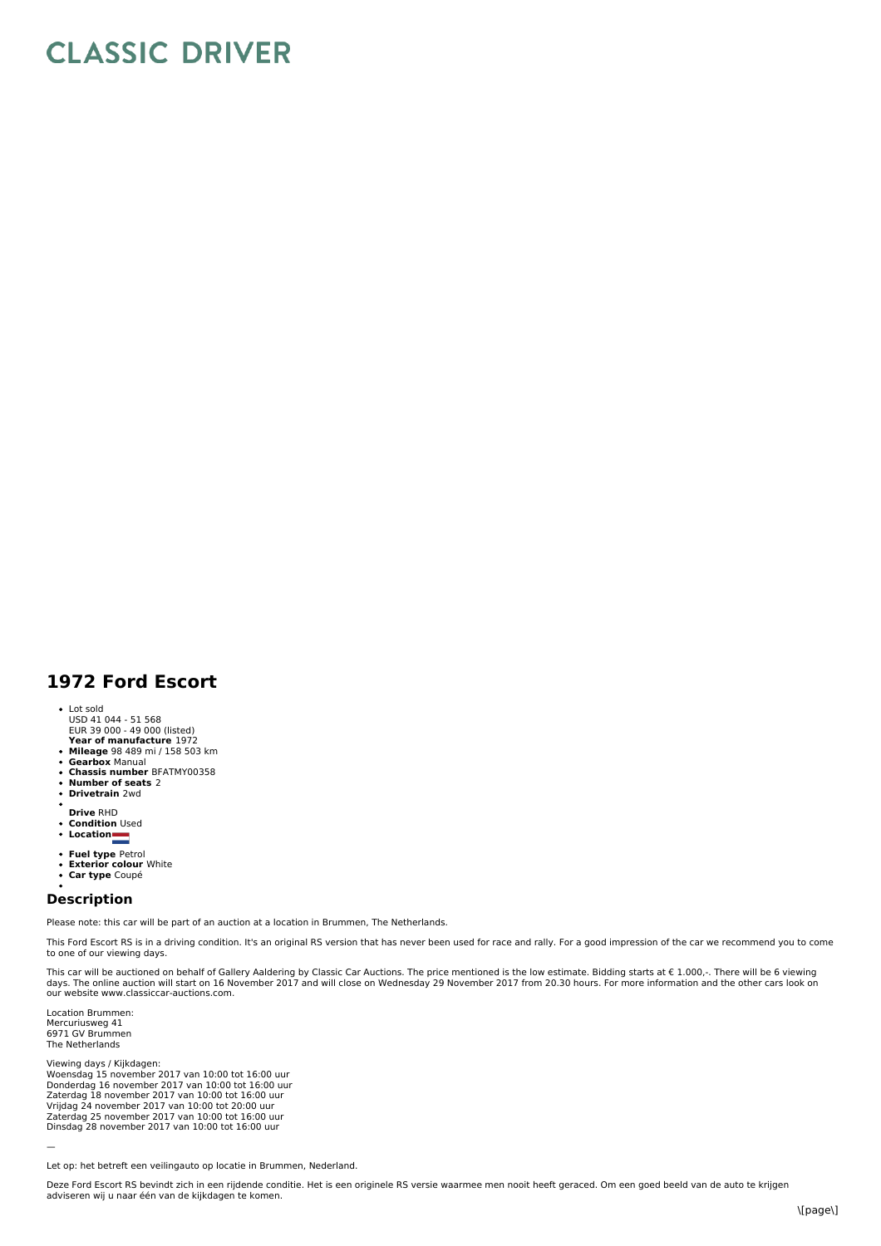## **CLASSIC DRIVER**

## **1972 Ford Escort**

- 
- Lot sold USD 41 044 51 568 EUR 39 000 49 000 (listed)
- **Year of manufacture** 1972 **Mileage** 98 489 mi / 158 503 km
- 
- **Gearbox** Manual  $\ddot{\phantom{a}}$ **Chassis number** BFATMY00358
- $\bullet$
- **Number of seats** 2 **Drivetrain** 2wd
- 
- **Drive** RHD **Condition** Used  $\ddot{\phantom{0}}$
- **Location**
- 
- 
- **Fuel type** Petrol **Exterior colour** White
- **Car type** Coupé

## **Description**

Please note: this car will be part of an auction at a location in Brummen, The Netherlands.

This Ford Escort RS is in a driving condition. It's an original RS version that has never been used for race and rally. For a good impression of the car we recommend you to come to one of our viewing days.

This car will be auctioned on behalf of Gallery Aaldering by Classic Car Auctions. The price mentioned is the low estimate. Bidding starts at  $\epsilon$  1.000,-. There will be 6 viewing days. The online auction will start on 16 November 2017 and will close on Wednesday 29 November 2017 from 20.30 hours. For more information and the other cars look on our website www.classiccar-auctions.com.

Location Brummen: Mercuriusweg 41 6971 GV Brummen The Netherlands

Viewing days / Kijkdagen:<br>Woensdag 15 november 2017 van 10:00 tot 16:00 uur<br>Donderdag 16 november 2017 van 10:00 tot 16:00 uur<br>Zaterdag 18 november 2017 van 10:00 tot 16:00 uur<br>Vrijdag 24 november 2017 van 10:00 tot 20:00

—

Deze Ford Escort RS bevindt zich in een rijdende conditie. Het is een originele RS versie waarmee men nooit heeft geraced. Om een goed beeld van de auto te krijgen adviseren wij u naar één van de kijkdagen te komen.

Let op: het betreft een veilingauto op locatie in Brummen, Nederland.